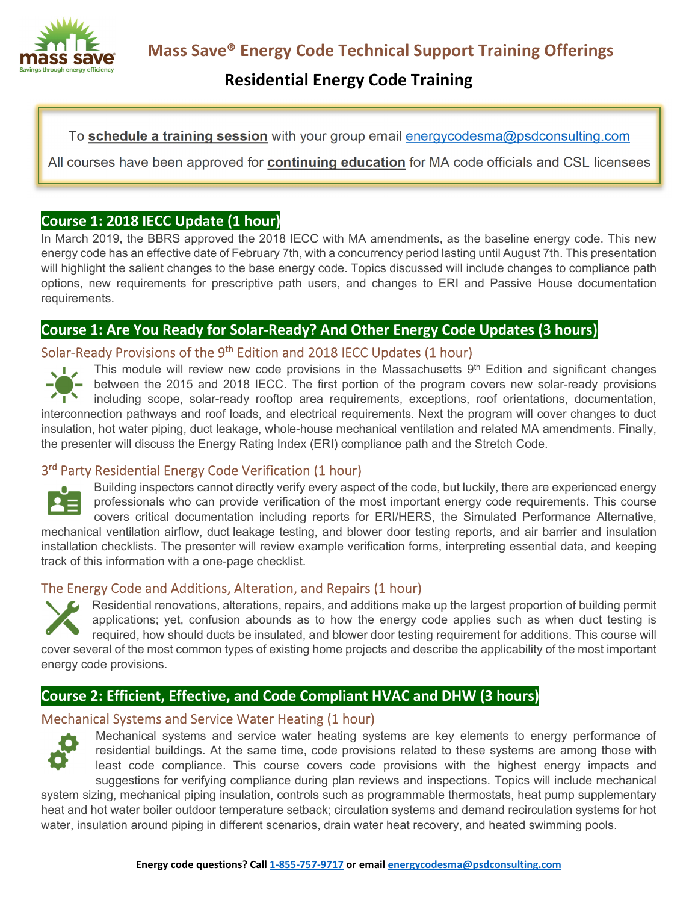

# **Residential Energy Code Training**

To **schedule a training session** with your group email energycodesma@psdconsulting.com

All courses have been approved for **continuing education** for MA code officials and CSL licensees

# **Course 1: 2018 IECC Update (1 hour)**

In March 2019, the BBRS approved the 2018 IECC with MA amendments, as the baseline energy code. This new energy code has an effective date of February 7th, with a concurrency period lasting until August 7th. This presentation will highlight the salient changes to the base energy code. Topics discussed will include changes to compliance path options, new requirements for prescriptive path users, and changes to ERI and Passive House documentation requirements.

# **Course 1: Are You Ready for Solar-Ready? And Other Energy Code Updates (3 hours)**

### Solar-Ready Provisions of the 9<sup>th</sup> Edition and 2018 IECC Updates (1 hour)



This module will review new code provisions in the Massachusetts  $9<sup>th</sup>$  Edition and significant changes between the 2015 and 2018 IECC. The first portion of the program covers new solar-ready provisions including scope, solar-ready rooftop area requirements, exceptions, roof orientations, documentation, interconnection pathways and roof loads, and electrical requirements. Next the program will cover changes to duct insulation, hot water piping, duct leakage, whole-house mechanical ventilation and related MA amendments. Finally, the presenter will discuss the Energy Rating Index (ERI) compliance path and the Stretch Code.

# 3<sup>rd</sup> Party Residential Energy Code Verification (1 hour)



Building inspectors cannot directly verify every aspect of the code, but luckily, there are experienced energy professionals who can provide verification of the most important energy code requirements. This course covers critical documentation including reports for ERI/HERS, the Simulated Performance Alternative,

mechanical ventilation airflow, duct leakage testing, and blower door testing reports, and air barrier and insulation installation checklists. The presenter will review example verification forms, interpreting essential data, and keeping track of this information with a one-page checklist.

# The Energy Code and Additions, Alteration, and Repairs (1 hour)

Residential renovations, alterations, repairs, and additions make up the largest proportion of building permit applications; yet, confusion abounds as to how the energy code applies such as when duct testing is required, how should ducts be insulated, and blower door testing requirement for additions. This course will cover several of the most common types of existing home projects and describe the applicability of the most important energy code provisions.

# **Course 2: Efficient, Effective, and Code Compliant HVAC and DHW (3 hours)**

# Mechanical Systems and Service Water Heating (1 hour)



Mechanical systems and service water heating systems are key elements to energy performance of residential buildings. At the same time, code provisions related to these systems are among those with least code compliance. This course covers code provisions with the highest energy impacts and suggestions for verifying compliance during plan reviews and inspections. Topics will include mechanical

system sizing, mechanical piping insulation, controls such as programmable thermostats, heat pump supplementary heat and hot water boiler outdoor temperature setback; circulation systems and demand recirculation systems for hot water, insulation around piping in different scenarios, drain water heat recovery, and heated swimming pools.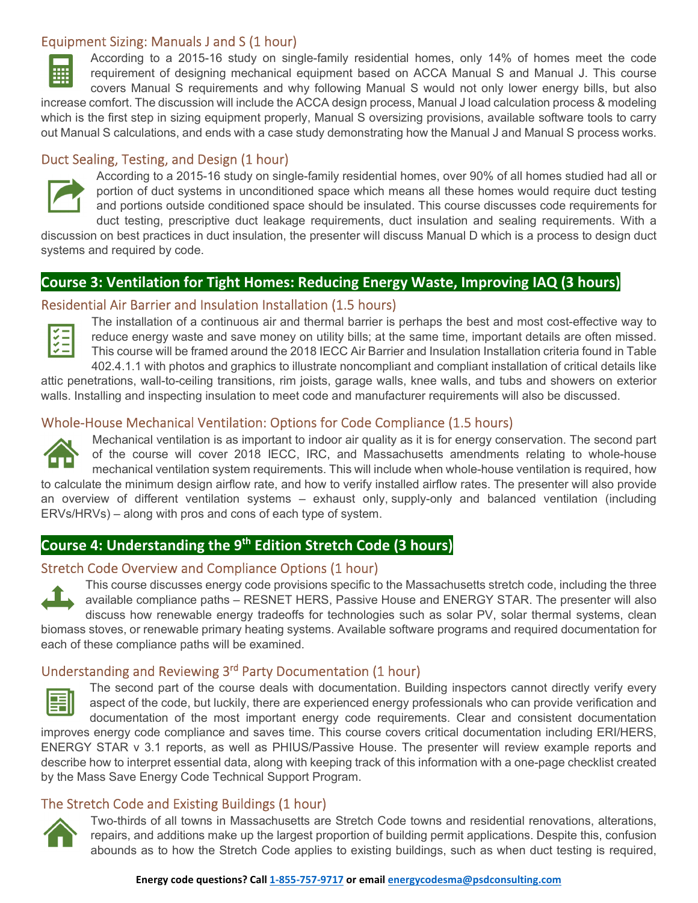#### Equipment Sizing: Manuals J and S (1 hour)



which is the first step in sizing equipment properly, Manual S oversizing provisions, available software tools to carry out Manual S calculations, and ends with a case study demonstrating how the Manual J and Manual S process works.

#### Duct Sealing, Testing, and Design (1 hour)



照

According to a 2015-16 study on single-family residential homes, over 90% of all homes studied had all or portion of duct systems in unconditioned space which means all these homes would require duct testing and portions outside conditioned space should be insulated. This course discusses code requirements for duct testing, prescriptive duct leakage requirements, duct insulation and sealing requirements. With a

discussion on best practices in duct insulation, the presenter will discuss Manual D which is a process to design duct systems and required by code.

### **Course 3: Ventilation for Tight Homes: Reducing Energy Waste, Improving IAQ (3 hours)**

#### Residential Air Barrier and Insulation Installation (1.5 hours)



The installation of a continuous air and thermal barrier is perhaps the best and most cost-effective way to reduce energy waste and save money on utility bills; at the same time, important details are often missed. This course will be framed around the 2018 IECC Air Barrier and Insulation Installation criteria found in Table 402.4.1.1 with photos and graphics to illustrate noncompliant and compliant installation of critical details like

attic penetrations, wall-to-ceiling transitions, rim joists, garage walls, knee walls, and tubs and showers on exterior walls. Installing and inspecting insulation to meet code and manufacturer requirements will also be discussed.

#### Whole-House Mechanical Ventilation: Options for Code Compliance (1.5 hours)



Mechanical ventilation is as important to indoor air quality as it is for energy conservation. The second part of the course will cover 2018 IECC, IRC, and Massachusetts amendments relating to whole-house mechanical ventilation system requirements. This will include when whole-house ventilation is required, how to calculate the minimum design airflow rate, and how to verify installed airflow rates. The presenter will also provide an overview of different ventilation systems – exhaust only, supply-only and balanced ventilation (including ERVs/HRVs) – along with pros and cons of each type of system.

# **Course 4: Understanding the 9th Edition Stretch Code (3 hours)**

#### Stretch Code Overview and Compliance Options (1 hour)



This course discusses energy code provisions specific to the Massachusetts stretch code, including the three available compliance paths – RESNET HERS, Passive House and ENERGY STAR. The presenter will also discuss how renewable energy tradeoffs for technologies such as solar PV, solar thermal systems, clean

biomass stoves, or renewable primary heating systems. Available software programs and required documentation for each of these compliance paths will be examined.

#### Understanding and Reviewing 3<sup>rd</sup> Party Documentation (1 hour)



The second part of the course deals with documentation. Building inspectors cannot directly verify every aspect of the code, but luckily, there are experienced energy professionals who can provide verification and documentation of the most important energy code requirements. Clear and consistent documentation

improves energy code compliance and saves time. This course covers critical documentation including ERI/HERS, ENERGY STAR v 3.1 reports, as well as PHIUS/Passive House. The presenter will review example reports and describe how to interpret essential data, along with keeping track of this information with a one-page checklist created by the Mass Save Energy Code Technical Support Program.

# The Stretch Code and Existing Buildings (1 hour)



Two-thirds of all towns in Massachusetts are Stretch Code towns and residential renovations, alterations, repairs, and additions make up the largest proportion of building permit applications. Despite this, confusion abounds as to how the Stretch Code applies to existing buildings, such as when duct testing is required,